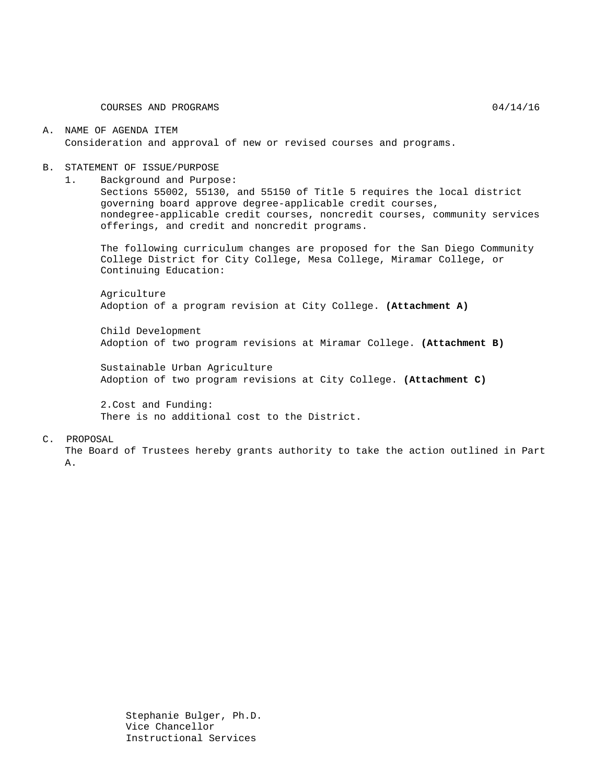COURSES AND PROGRAMS 04/14/16

#### A. NAME OF AGENDA ITEM Consideration and approval of new or revised courses and programs.

#### B. STATEMENT OF ISSUE/PURPOSE

1. Background and Purpose:

Sections 55002, 55130, and 55150 of Title 5 requires the local district governing board approve degree-applicable credit courses, nondegree-applicable credit courses, noncredit courses, community services offerings, and credit and noncredit programs.

The following curriculum changes are proposed for the San Diego Community College District for City College, Mesa College, Miramar College, or Continuing Education:

Agriculture Adoption of a program revision at City College. **(Attachment A)**

Child Development Adoption of two program revisions at Miramar College. **(Attachment B)**

Sustainable Urban Agriculture Adoption of two program revisions at City College. **(Attachment C)**

2.Cost and Funding: There is no additional cost to the District.

#### C. PROPOSAL

The Board of Trustees hereby grants authority to take the action outlined in Part A.

> Stephanie Bulger, Ph.D. Vice Chancellor Instructional Services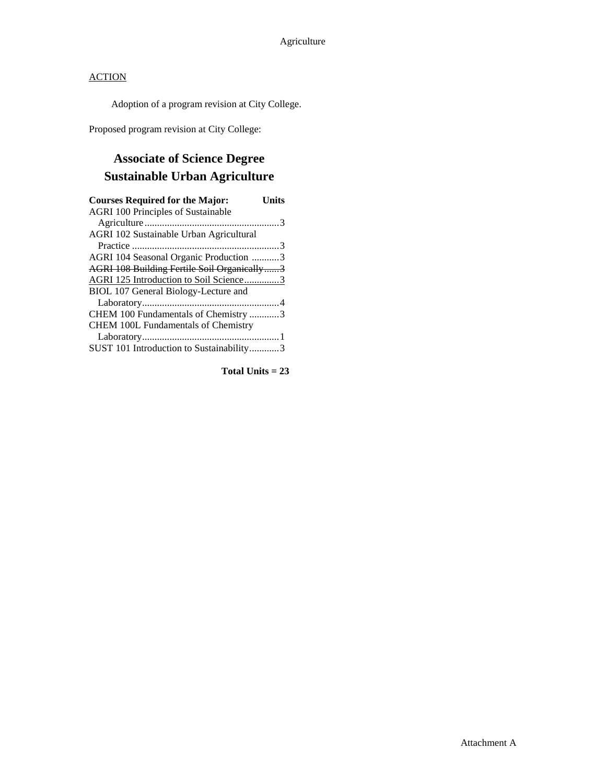### **ACTION**

Adoption of a program revision at City College.

Proposed program revision at City College:

# **Associate of Science Degree Sustainable Urban Agriculture**

| <b>Courses Required for the Major:</b><br>Units |
|-------------------------------------------------|
| <b>AGRI 100 Principles of Sustainable</b>       |
|                                                 |
| AGRI 102 Sustainable Urban Agricultural         |
|                                                 |
| AGRI 104 Seasonal Organic Production 3          |
| AGRI 108 Building Fertile Soil Organically3     |
| AGRI 125 Introduction to Soil Science3          |
| BIOL 107 General Biology-Lecture and            |
|                                                 |
| CHEM 100 Fundamentals of Chemistry 3            |
| <b>CHEM 100L Fundamentals of Chemistry</b>      |
|                                                 |
| SUST 101 Introduction to Sustainability3        |

**Total Units = 23**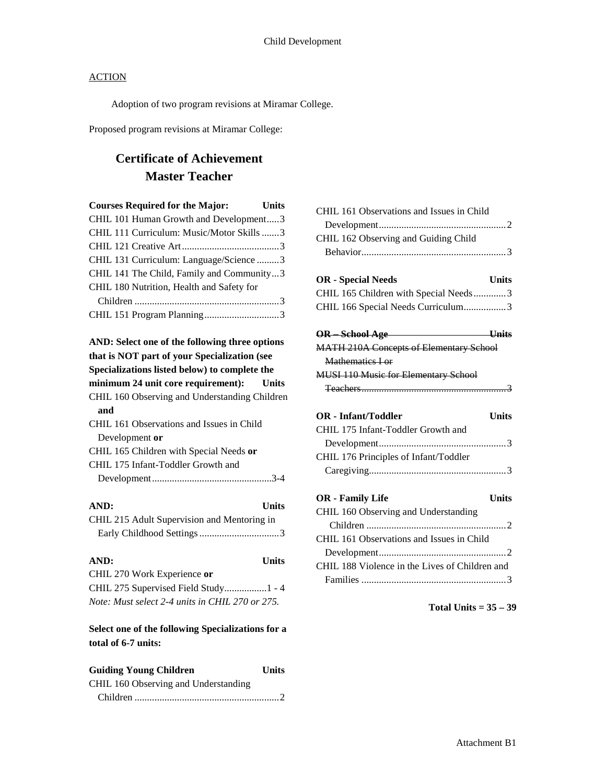### **ACTION**

Adoption of two program revisions at Miramar College.

Proposed program revisions at Miramar College:

## **Certificate of Achievement Master Teacher**

| <b>Courses Required for the Major:</b>    | <b>Units</b> |
|-------------------------------------------|--------------|
| CHIL 101 Human Growth and Development3    |              |
| CHIL 111 Curriculum: Music/Motor Skills3  |              |
|                                           |              |
| CHIL 131 Curriculum: Language/Science3    |              |
| CHIL 141 The Child, Family and Community3 |              |
| CHIL 180 Nutrition, Health and Safety for |              |
|                                           |              |
|                                           |              |
|                                           |              |

#### **AND: Select one of the following three options that is NOT part of your Specialization (see Specializations listed below) to complete the**

| minimum 24 unit core requirement): Units      |  |
|-----------------------------------------------|--|
| CHIL 160 Observing and Understanding Children |  |
| and                                           |  |
| CHIL 161 Observations and Issues in Child     |  |
| Development or                                |  |
| CHIL 165 Children with Special Needs or       |  |
| CHIL 175 Infant-Toddler Growth and            |  |
|                                               |  |
|                                               |  |

| AND:                                        | <b>Units</b> |
|---------------------------------------------|--------------|
| CHIL 215 Adult Supervision and Mentoring in |              |
|                                             |              |

| AND:                                            | <b>Units</b> |
|-------------------------------------------------|--------------|
| CHIL 270 Work Experience or                     |              |
| CHIL 275 Supervised Field Study1 - 4            |              |
| Note: Must select 2-4 units in CHIL 270 or 275. |              |

### **Select one of the following Specializations for a total of 6-7 units:**

| <b>Guiding Young Children</b>        | <b>Units</b> |
|--------------------------------------|--------------|
| CHIL 160 Observing and Understanding |              |
|                                      |              |

| CHIL 161 Observations and Issues in Child      |
|------------------------------------------------|
|                                                |
| CHIL 162 Observing and Guiding Child           |
|                                                |
|                                                |
| <b>OR</b> - Special Needs<br><b>Units</b>      |
| CHIL 165 Children with Special Needs3          |
| CHIL 166 Special Needs Curriculum3             |
|                                                |
| OR School Age Units                            |
| <b>MATH 210A Concepts of Elementary School</b> |
| Mathematics Lor                                |
| <b>MUSI 110 Music for Elementary School</b>    |
|                                                |
|                                                |
| <b>OR</b> - Infant/Toddler<br><b>Units</b>     |
| CHIL 175 Infant-Toddler Growth and             |
|                                                |
| CHIL 176 Principles of Infant/Toddler          |
|                                                |
|                                                |
| <b>OR</b> - Family Life<br><b>Units</b>        |
| CHIL 160 Observing and Understanding           |
|                                                |
| CHIL 161 Observations and Issues in Child      |
|                                                |
| CHIL 188 Violence in the Lives of Children and |
|                                                |

**Total Units = 35 – 39**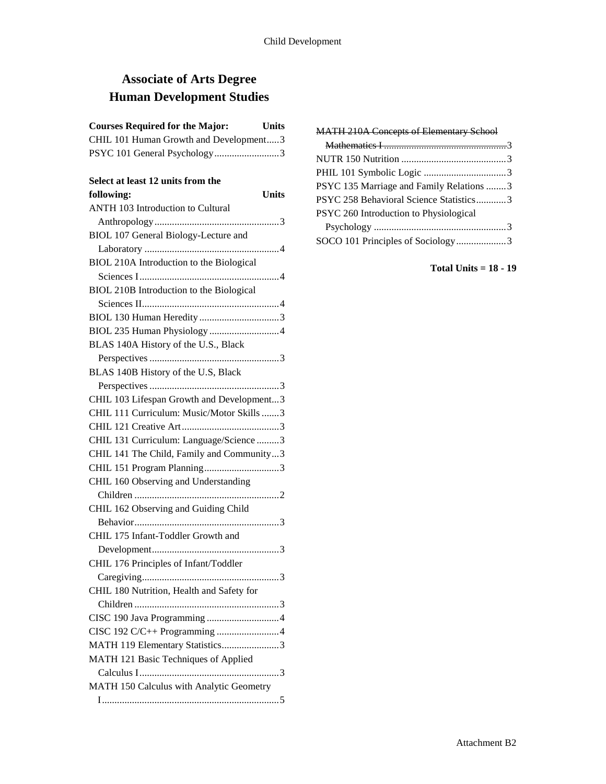# **Associate of Arts Degree Human Development Studies**

### **Courses Required for the Major: Units** CHIL 101 Human Growth and Development.....3 PSYC 101 General Psychology..........................3

### **Select at least 12 units from the**

| Select at least 12 units from the         |
|-------------------------------------------|
| <b>Units</b><br>following:                |
| <b>ANTH 103 Introduction to Cultural</b>  |
|                                           |
| BIOL 107 General Biology-Lecture and      |
|                                           |
| BIOL 210A Introduction to the Biological  |
|                                           |
| BIOL 210B Introduction to the Biological  |
|                                           |
|                                           |
|                                           |
| BLAS 140A History of the U.S., Black      |
|                                           |
| BLAS 140B History of the U.S, Black       |
|                                           |
| CHIL 103 Lifespan Growth and Development3 |
| CHIL 111 Curriculum: Music/Motor Skills 3 |
|                                           |
| CHIL 131 Curriculum: Language/Science 3   |
| CHIL 141 The Child, Family and Community3 |
|                                           |
| CHIL 160 Observing and Understanding      |
|                                           |
| CHIL 162 Observing and Guiding Child      |
|                                           |
| CHIL 175 Infant-Toddler Growth and        |
|                                           |
| CHIL 176 Principles of Infant/Toddler     |
| 3                                         |
| CHIL 180 Nutrition, Health and Safety for |
|                                           |
|                                           |
| CISC 192 C/C++ Programming 4              |
| MATH 119 Elementary Statistics3           |
| MATH 121 Basic Techniques of Applied      |
|                                           |
| MATH 150 Calculus with Analytic Geometry  |
|                                           |

| <b>MATH 210A Concepts of Elementary School</b> |  |
|------------------------------------------------|--|
|                                                |  |
|                                                |  |
|                                                |  |
| PSYC 135 Marriage and Family Relations 3       |  |
| PSYC 258 Behavioral Science Statistics3        |  |
| PSYC 260 Introduction to Physiological         |  |
|                                                |  |
| SOCO 101 Principles of Sociology3              |  |

**Total Units = 18 - 19**